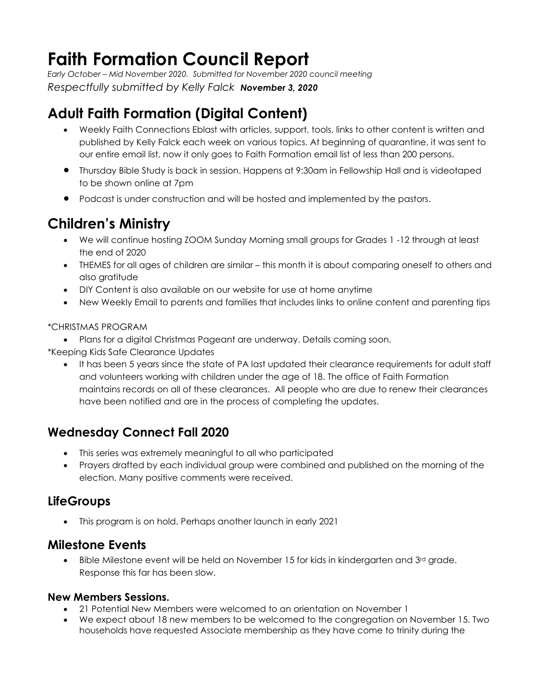# **Faith Formation Council Report**

*Early October – Mid November 2020. Submitted for November 2020 council meeting Respectfully submitted by Kelly Falck November 3, 2020*

## **Adult Faith Formation (Digital Content)**

- Weekly Faith Connections Eblast with articles, support, tools, links to other content is written and published by Kelly Falck each week on various topics. At beginning of quarantine, it was sent to our entire email list, now it only goes to Faith Formation email list of less than 200 persons.
- Thursday Bible Study is back in session. Happens at 9:30am in Fellowship Hall and is videotaped to be shown online at 7pm
- Podcast is under construction and will be hosted and implemented by the pastors.

## **Children's Ministry**

- We will continue hosting ZOOM Sunday Morning small groups for Grades 1 -12 through at least the end of 2020
- THEMES for all ages of children are similar this month it is about comparing oneself to others and also gratitude
- DIY Content is also available on our website for use at home anytime
- New Weekly Email to parents and families that includes links to online content and parenting tips

#### \*CHRISTMAS PROGRAM

• Plans for a digital Christmas Pageant are underway. Details coming soon.

\*Keeping Kids Safe Clearance Updates

• It has been 5 years since the state of PA last updated their clearance requirements for adult staff and volunteers working with children under the age of 18. The office of Faith Formation maintains records on all of these clearances. All people who are due to renew their clearances have been notified and are in the process of completing the updates.

### **Wednesday Connect Fall 2020**

- This series was extremely meaningful to all who participated
- Prayers drafted by each individual group were combined and published on the morning of the election. Many positive comments were received.

### **LifeGroups**

• This program is on hold. Perhaps another launch in early 2021

#### **Milestone Events**

Bible Milestone event will be held on November 15 for kids in kindergarten and 3<sup>rd</sup> grade. Response this far has been slow.

#### **New Members Sessions.**

- 21 Potential New Members were welcomed to an orientation on November 1
- We expect about 18 new members to be welcomed to the congregation on November 15. Two households have requested Associate membership as they have come to trinity during the